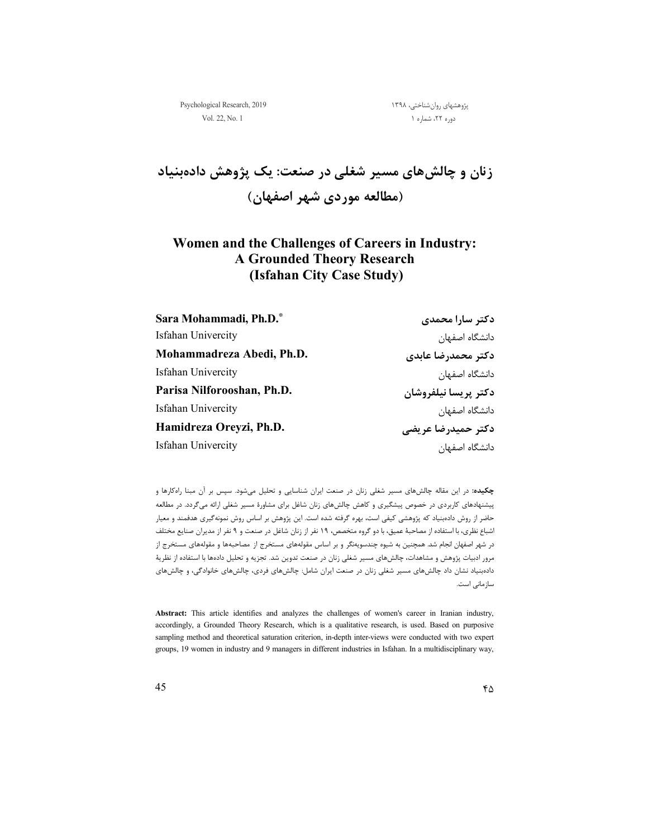پژوهشهای روانشناختی، ۱۳۹۸ میسیاستان 2019 Psychological Research, 2019 میباشد که بودن استفاده بودنشناختی، ۱۳۹۸  $\alpha$ 

دوره ۲۲، شماره ۱ . مشاره است. این مشماره است که این مشماره است که این مشماره است که این مشماره است که این مشما

**زنان و چالشهاي مسیر شغلی در صنعت: یک پژوهش دادهبنیاد (مطالعه موردي شهر اصفهان)** 

## **Women and the Challenges of Careers in Industry: A Grounded Theory Research (Isfahan City Case Study)**

| Sara Mohammadi, Ph.D.*     | دکتر سارا محمدی      |
|----------------------------|----------------------|
| Isfahan Univercity         | دانشگاه اصفهان       |
| Mohammadreza Abedi, Ph.D.  | دكتر محمدرضا عابدي   |
| Isfahan Univercity         | دانشگاه اصفهان       |
| Parisa Nilforooshan, Ph.D. | دكتر يريسا نيلفروشان |
| Isfahan Univercity         | دانشگاه اصفهان       |
| Hamidreza Oreyzi, Ph.D.    | دکتر حمیدرضا عریضی   |
| Isfahan Univercity         | دانشگاه اصفهان       |

**چکیده:** در این مقاله چالشهاي مسیر شغلی زنان در صنعت ایران شناسایی و تحلیل میشود. سپس بر آن مبنا راهکارها و پیشنهادهاي کاربردي در خصوص پیشگیري و کاهش چالشهاي زنان شاغل براي مشاورة مسیر شغلی ارائه میگردد. در مطالعه حاضر از روش دادهبنیاد که پژوهشی کیفی است، بهره گرفته شده است. این پژوهش بر اساس روش نمونهگیري هدفمند و معیار اشباع نظري، با استفاده از مصاحبۀ عمیق، با دو گروه متخصص، 19 نفر از زنان شاغل در صنعت و 9 نفر از مدیران صنایع مختلف در شهر اصفهان انجام شد. همچنین به شیوه چندسویهنگر و بر اساس مقولههاي مستخرج از مصاحبهها و مقولههاي مستخرج از مرور ادبیات پژوهش و مشاهدات، چالشهاي مسیر شغلی زنان در صنعت تدوین شد. تجزیه و تحلیل دادهها با استفاده از نظریۀ دادهبنیاد نشان داد چالشهاي مسیر شغلی زنان در صنعت ایران شامل: چالشهاي فردي، چالشهاي خانوادگی، و چالشهاي سازمانی است.

**Abstract:** This article identifies and analyzes the challenges of women's career in Iranian industry, accordingly, a Grounded Theory Research, which is a qualitative research, is used. Based on purposive sampling method and theoretical saturation criterion, in-depth inter-views were conducted with two expert groups, 19 women in industry and 9 managers in different industries in Isfahan. In a multidisciplinary way,